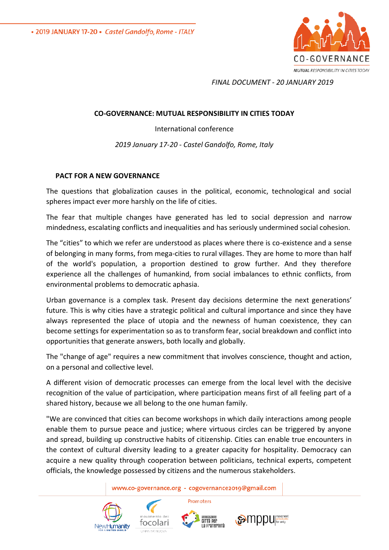• 2019 JANUARY 17-20 • Castel Gandolfo, Rome - ITALY



*FINAL DOCUMENT - 20 JANUARY 2019* 

## **CO-GOVERNANCE: MUTUAL RESPONSIBILITY IN CITIES TODAY**

International conference

*2019 January 17-20 - Castel Gandolfo, Rome, Italy*

## **PACT FOR A NEW GOVERNANCE**

The questions that globalization causes in the political, economic, technological and social spheres impact ever more harshly on the life of cities.

The fear that multiple changes have generated has led to social depression and narrow mindedness, escalating conflicts and inequalities and has seriously undermined social cohesion.

The "cities" to which we refer are understood as places where there is co-existence and a sense of belonging in many forms, from mega-cities to rural villages. They are home to more than half of the world's population, a proportion destined to grow further. And they therefore experience all the challenges of humankind, from social imbalances to ethnic conflicts, from environmental problems to democratic aphasia.

Urban governance is a complex task. Present day decisions determine the next generations' future. This is why cities have a strategic political and cultural importance and since they have always represented the place of utopia and the newness of human coexistence, they can become settings for experimentation so as to transform fear, social breakdown and conflict into opportunities that generate answers, both locally and globally.

The "change of age" requires a new commitment that involves conscience, thought and action, on a personal and collective level.

A different vision of democratic processes can emerge from the local level with the decisive recognition of the value of participation, where participation means first of all feeling part of a shared history, because we all belong to the one human family.

"We are convinced that cities can become workshops in which daily interactions among people enable them to pursue peace and justice; where virtuous circles can be triggered by anyone and spread, building up constructive habits of citizenship. Cities can enable true encounters in the context of cultural diversity leading to a greater capacity for hospitality. Democracy can acquire a new quality through cooperation between politicians, technical experts, competent officials, the knowledge possessed by citizens and the numerous stakeholders.

www.co-governance.org - cogovernance2019@gmail.com

Promoters







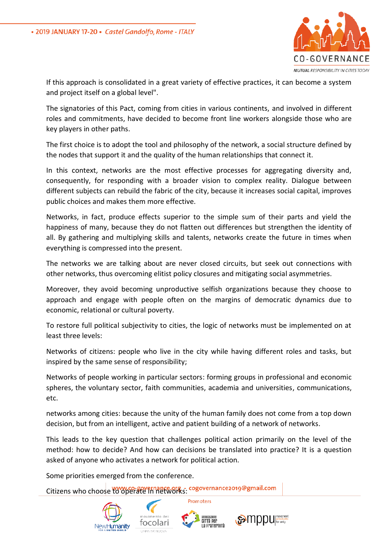

If this approach is consolidated in a great variety of effective practices, it can become a system and project itself on a global level".

The signatories of this Pact, coming from cities in various continents, and involved in different roles and commitments, have decided to become front line workers alongside those who are key players in other paths.

The first choice is to adopt the tool and philosophy of the network, a social structure defined by the nodes that support it and the quality of the human relationships that connect it.

In this context, networks are the most effective processes for aggregating diversity and, consequently, for responding with a broader vision to complex reality. Dialogue between different subjects can rebuild the fabric of the city, because it increases social capital, improves public choices and makes them more effective.

Networks, in fact, produce effects superior to the simple sum of their parts and yield the happiness of many, because they do not flatten out differences but strengthen the identity of all. By gathering and multiplying skills and talents, networks create the future in times when everything is compressed into the present.

The networks we are talking about are never closed circuits, but seek out connections with other networks, thus overcoming elitist policy closures and mitigating social asymmetries.

Moreover, they avoid becoming unproductive selfish organizations because they choose to approach and engage with people often on the margins of democratic dynamics due to economic, relational or cultural poverty.

To restore full political subjectivity to cities, the logic of networks must be implemented on at least three levels:

Networks of citizens: people who live in the city while having different roles and tasks, but inspired by the same sense of responsibility;

Networks of people working in particular sectors: forming groups in professional and economic spheres, the voluntary sector, faith communities, academia and universities, communications, etc.

networks among cities: because the unity of the human family does not come from a top down decision, but from an intelligent, active and patient building of a network of networks.

This leads to the key question that challenges political action primarily on the level of the method: how to decide? And how can decisions be translated into practice? It is a question asked of anyone who activates a network for political action.

Some priorities emerged from the conference.

Citizens who choose to operate in networks: cogovernance2019@gmail.com





Promoters

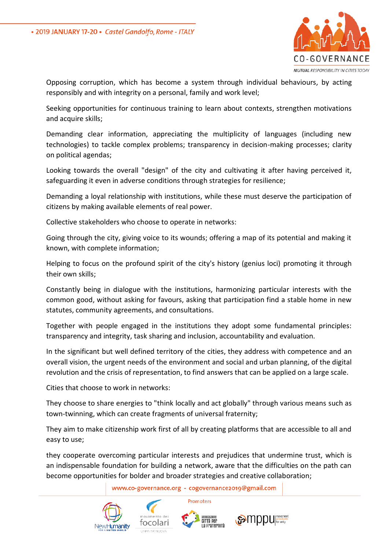

Opposing corruption, which has become a system through individual behaviours, by acting responsibly and with integrity on a personal, family and work level;

Seeking opportunities for continuous training to learn about contexts, strengthen motivations and acquire skills;

Demanding clear information, appreciating the multiplicity of languages (including new technologies) to tackle complex problems; transparency in decision-making processes; clarity on political agendas;

Looking towards the overall "design" of the city and cultivating it after having perceived it, safeguarding it even in adverse conditions through strategies for resilience;

Demanding a loyal relationship with institutions, while these must deserve the participation of citizens by making available elements of real power.

Collective stakeholders who choose to operate in networks:

Going through the city, giving voice to its wounds; offering a map of its potential and making it known, with complete information;

Helping to focus on the profound spirit of the city's history (genius loci) promoting it through their own skills;

Constantly being in dialogue with the institutions, harmonizing particular interests with the common good, without asking for favours, asking that participation find a stable home in new statutes, community agreements, and consultations.

Together with people engaged in the institutions they adopt some fundamental principles: transparency and integrity, task sharing and inclusion, accountability and evaluation.

In the significant but well defined territory of the cities, they address with competence and an overall vision, the urgent needs of the environment and social and urban planning, of the digital revolution and the crisis of representation, to find answers that can be applied on a large scale.

Cities that choose to work in networks:

They choose to share energies to "think locally and act globally" through various means such as town-twinning, which can create fragments of universal fraternity;

They aim to make citizenship work first of all by creating platforms that are accessible to all and easy to use;

they cooperate overcoming particular interests and prejudices that undermine trust, which is an indispensable foundation for building a network, aware that the difficulties on the path can become opportunities for bolder and broader strategies and creative collaboration;

www.co-governance.org - cogovernance2019@gmail.com